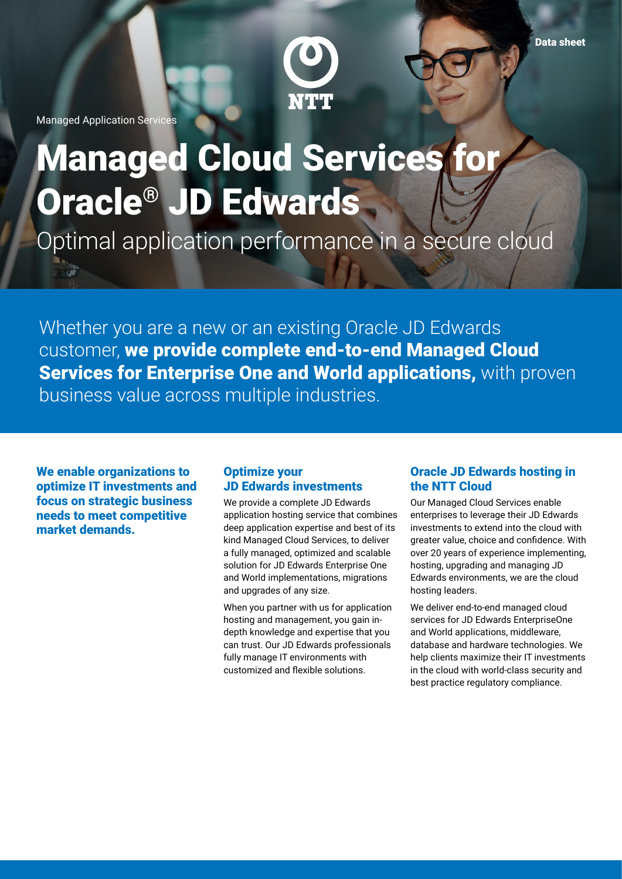

Managed Application Services

 $\overrightarrow{301}$ 

# Managed Cloud Services for Oracle® JD Edwards

Optimal application performance in a secure cloud

Whether you are a new or an existing Oracle JD Edwards customer, we provide complete end-to-end Managed Cloud Services for Enterprise One and World applications, with proven business value across multiple industries.

We enable organizations to optimize IT investments and focus on strategic business needs to meet competitive market demands.

# Optimize your JD Edwards investments

We provide a complete JD Edwards application hosting service that combines deep application expertise and best of its kind Managed Cloud Services, to deliver a fully managed, optimized and scalable solution for JD Edwards Enterprise One and World implementations, migrations and upgrades of any size.

When you partner with us for application hosting and management, you gain indepth knowledge and expertise that you can trust. Our JD Edwards professionals fully manage IT environments with customized and flexible solutions.

## Oracle JD Edwards hosting in the NTT Cloud

Our Managed Cloud Services enable enterprises to leverage their JD Edwards investments to extend into the cloud with greater value, choice and confidence. With over 20 years of experience implementing, hosting, upgrading and managing JD Edwards environments, we are the cloud hosting leaders.

We deliver end-to-end managed cloud services for JD Edwards EnterpriseOne and World applications, middleware, database and hardware technologies. We help clients maximize their IT investments in the cloud with world-class security and best practice regulatory compliance.